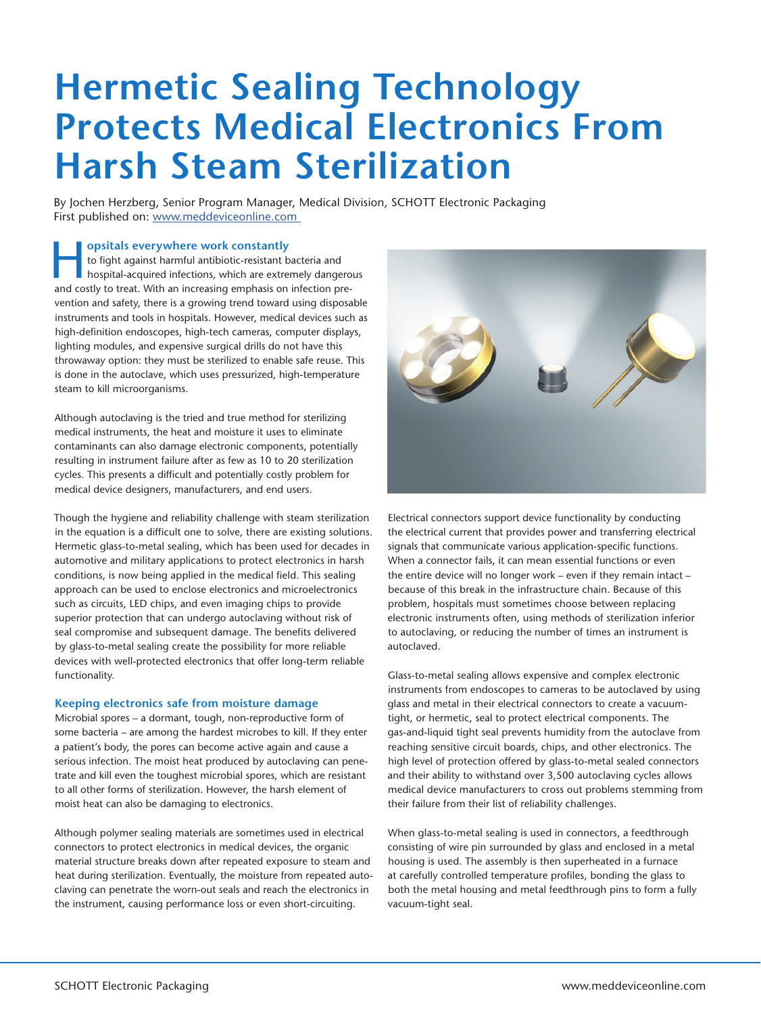# **Hermetic Sealing Technology Protects Medical Electronics From Harsh Steam Sterilization**

By Jochen Herzberg, Senior Program Manager, Medical Division, SCHOTT Electronic Packaging First published on: www.meddeviceonline.com

**Formulation and the system work constantly**<br>
hospital-acquired infections, which are extremely dangerous<br>
and costly to troat. With an increasing emphasis on infection are to fight against harmful antibiotic-resistant bacteria and and costly to treat. With an increasing emphasis on infection prevention and safety, there is a growing trend toward using disposable instruments and tools in hospitals. However, medical devices such as high-definition endoscopes, high-tech cameras, computer displays, lighting modules, and expensive surgical drills do not have this throwaway option: they must be sterilized to enable safe reuse. This is done in the autoclave, which uses pressurized, high-temperature steam to kill microorganisms.

Although autoclaving is the tried and true method for sterilizing medical instruments, the heat and moisture it uses to eliminate contaminants can also damage electronic components, potentially resulting in instrument failure after as few as 10 to 20 sterilization cycles. This presents a difficult and potentially costly problem for medical device designers, manufacturers, and end users.

Though the hygiene and reliability challenge with steam sterilization in the equation is a difficult one to solve, there are existing solutions. Hermetic glass-to-metal sealing, which has been used for decades in automotive and military applications to protect electronics in harsh conditions, is now being applied in the medical field. This sealing approach can be used to enclose electronics and microelectronics such as circuits, LED chips, and even imaging chips to provide superior protection that can undergo autoclaving without risk of seal compromise and subsequent damage. The benefits delivered by glass-to-metal sealing create the possibility for more reliable devices with well-protected electronics that offer long-term reliable functionality.

# **Keeping electronics safe from moisture damage**

Microbial spores – a dormant, tough, non-reproductive form of some bacteria – are among the hardest microbes to kill. If they enter a patient's body, the pores can become active again and cause a serious infection. The moist heat produced by autoclaving can penetrate and kill even the toughest microbial spores, which are resistant to all other forms of sterilization. However, the harsh element of moist heat can also be damaging to electronics.

Although polymer sealing materials are sometimes used in electrical connectors to protect electronics in medical devices, the organic material structure breaks down after repeated exposure to steam and heat during sterilization. Eventually, the moisture from repeated autoclaving can penetrate the worn-out seals and reach the electronics in the instrument, causing performance loss or even short-circuiting.



Electrical connectors support device functionality by conducting the electrical current that provides power and transferring electrical signals that communicate various application-specific functions. When a connector fails, it can mean essential functions or even the entire device will no longer work – even if they remain intact – because of this break in the infrastructure chain. Because of this problem, hospitals must sometimes choose between replacing electronic instruments often, using methods of sterilization inferior to autoclaving, or reducing the number of times an instrument is autoclaved.

Glass-to-metal sealing allows expensive and complex electronic instruments from endoscopes to cameras to be autoclaved by using glass and metal in their electrical connectors to create a vacuumtight, or hermetic, seal to protect electrical components. The gas-and-liquid tight seal prevents humidity from the autoclave from reaching sensitive circuit boards, chips, and other electronics. The high level of protection offered by glass-to-metal sealed connectors and their ability to withstand over 3,500 autoclaving cycles allows medical device manufacturers to cross out problems stemming from their failure from their list of reliability challenges.

When glass-to-metal sealing is used in connectors, a feedthrough consisting of wire pin surrounded by glass and enclosed in a metal housing is used. The assembly is then superheated in a furnace at carefully controlled temperature profiles, bonding the glass to both the metal housing and metal feedthrough pins to form a fully vacuum-tight seal.